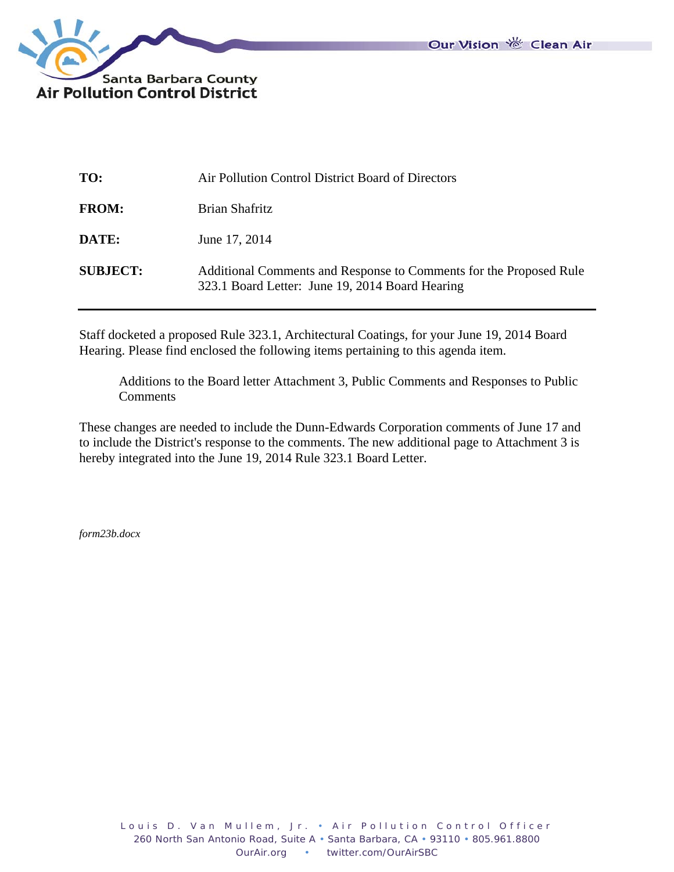

| TO:             | Air Pollution Control District Board of Directors                                                                     |
|-----------------|-----------------------------------------------------------------------------------------------------------------------|
| <b>FROM:</b>    | Brian Shafritz                                                                                                        |
| DATE:           | June 17, 2014                                                                                                         |
| <b>SUBJECT:</b> | Additional Comments and Response to Comments for the Proposed Rule<br>323.1 Board Letter: June 19, 2014 Board Hearing |

Staff docketed a proposed Rule 323.1, Architectural Coatings, for your June 19, 2014 Board Hearing. Please find enclosed the following items pertaining to this agenda item.

 Additions to the Board letter Attachment 3, Public Comments and Responses to Public **Comments** 

These changes are needed to include the Dunn-Edwards Corporation comments of June 17 and to include the District's response to the comments. The new additional page to Attachment 3 is hereby integrated into the June 19, 2014 Rule 323.1 Board Letter.

*form23b.docx*